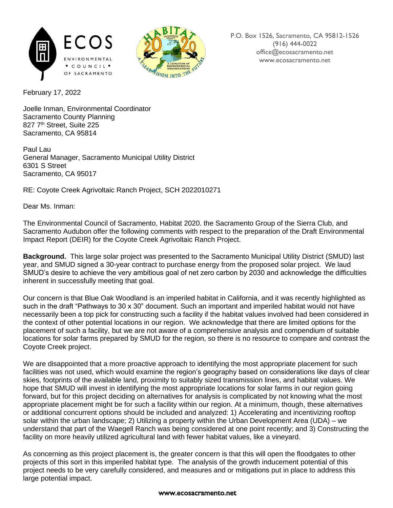



February 17, 2022

Joelle Inman, Environmental Coordinator Sacramento County Planning 827 7<sup>th</sup> Street, Suite 225 Sacramento, CA 95814

Paul Lau General Manager, Sacramento Municipal Utility District 6301 S Street Sacramento, CA 95017

RE: Coyote Creek Agrivoltaic Ranch Project, SCH 2022010271

Dear Ms. Inman:

The Environmental Council of Sacramento, Habitat 2020. the Sacramento Group of the Sierra Club, and Sacramento Audubon offer the following comments with respect to the preparation of the Draft Environmental Impact Report (DEIR) for the Coyote Creek Agrivoltaic Ranch Project.

**Background.** This large solar project was presented to the Sacramento Municipal Utility District (SMUD) last year, and SMUD signed a 30-year contract to purchase energy from the proposed solar project. We laud SMUD's desire to achieve the very ambitious goal of net zero carbon by 2030 and acknowledge the difficulties inherent in successfully meeting that goal.

Our concern is that Blue Oak Woodland is an imperiled habitat in California, and it was recently highlighted as such in the draft "Pathways to 30 x 30" document. Such an important and imperiled habitat would not have necessarily been a top pick for constructing such a facility if the habitat values involved had been considered in the context of other potential locations in our region. We acknowledge that there are limited options for the placement of such a facility, but we are not aware of a comprehensive analysis and compendium of suitable locations for solar farms prepared by SMUD for the region, so there is no resource to compare and contrast the Coyote Creek project.

We are disappointed that a more proactive approach to identifying the most appropriate placement for such facilities was not used, which would examine the region's geography based on considerations like days of clear skies, footprints of the available land, proximity to suitably sized transmission lines, and habitat values. We hope that SMUD will invest in identifying the most appropriate locations for solar farms in our region going forward, but for this project deciding on alternatives for analysis is complicated by not knowing what the most appropriate placement might be for such a facility within our region. At a minimum, though, these alternatives or additional concurrent options should be included and analyzed: 1) Accelerating and incentivizing rooftop solar within the urban landscape; 2) Utilizing a property within the Urban Development Area (UDA) – we understand that part of the Waegell Ranch was being considered at one point recently; and 3) Constructing the facility on more heavily utilized agricultural land with fewer habitat values, like a vineyard.

As concerning as this project placement is, the greater concern is that this will open the floodgates to other projects of this sort in this imperiled habitat type. The analysis of the growth inducement potential of this project needs to be very carefully considered, and measures and or mitigations put in place to address this large potential impact.

## www.ecosacramento.net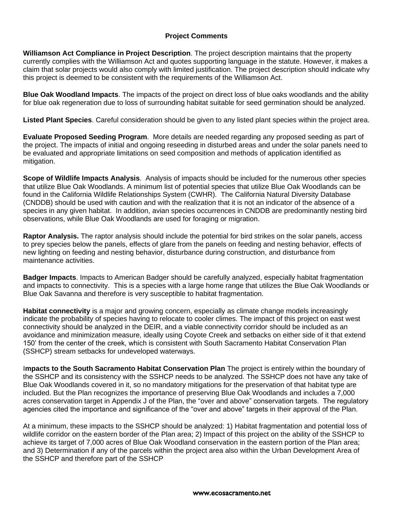## **Project Comments**

**Williamson Act Compliance in Project Description**. The project description maintains that the property currently complies with the Williamson Act and quotes supporting language in the statute. However, it makes a claim that solar projects would also comply with limited justification. The project description should indicate why this project is deemed to be consistent with the requirements of the Williamson Act.

**Blue Oak Woodland Impacts**. The impacts of the project on direct loss of blue oaks woodlands and the ability for blue oak regeneration due to loss of surrounding habitat suitable for seed germination should be analyzed.

**Listed Plant Species**. Careful consideration should be given to any listed plant species within the project area.

**Evaluate Proposed Seeding Program**. More details are needed regarding any proposed seeding as part of the project. The impacts of initial and ongoing reseeding in disturbed areas and under the solar panels need to be evaluated and appropriate limitations on seed composition and methods of application identified as mitigation.

**Scope of Wildlife Impacts Analysis**. Analysis of impacts should be included for the numerous other species that utilize Blue Oak Woodlands. A minimum list of potential species that utilize Blue Oak Woodlands can be found in the California Wildlife Relationships System (CWHR). The California Natural Diversity Database (CNDDB) should be used with caution and with the realization that it is not an indicator of the absence of a species in any given habitat. In addition, avian species occurrences in CNDDB are predominantly nesting bird observations, while Blue Oak Woodlands are used for foraging or migration.

**Raptor Analysis.** The raptor analysis should include the potential for bird strikes on the solar panels, access to prey species below the panels, effects of glare from the panels on feeding and nesting behavior, effects of new lighting on feeding and nesting behavior, disturbance during construction, and disturbance from maintenance activities.

**Badger Impacts**. Impacts to American Badger should be carefully analyzed, especially habitat fragmentation and impacts to connectivity. This is a species with a large home range that utilizes the Blue Oak Woodlands or Blue Oak Savanna and therefore is very susceptible to habitat fragmentation.

**Habitat connectivity** is a major and growing concern, especially as climate change models increasingly indicate the probability of species having to relocate to cooler climes. The impact of this project on east west connectivity should be analyzed in the DEIR, and a viable connectivity corridor should be included as an avoidance and minimization measure, ideally using Coyote Creek and setbacks on either side of it that extend 150' from the center of the creek, which is consistent with South Sacramento Habitat Conservation Plan (SSHCP) stream setbacks for undeveloped waterways.

I**mpacts to the South Sacramento Habitat Conservation Plan** The project is entirely within the boundary of the SSHCP and its consistency with the SSHCP needs to be analyzed. The SSHCP does not have any take of Blue Oak Woodlands covered in it, so no mandatory mitigations for the preservation of that habitat type are included. But the Plan recognizes the importance of preserving Blue Oak Woodlands and includes a 7,000 acres conservation target in Appendix J of the Plan, the "over and above" conservation targets. The regulatory agencies cited the importance and significance of the "over and above" targets in their approval of the Plan.

At a minimum, these impacts to the SSHCP should be analyzed: 1) Habitat fragmentation and potential loss of wildlife corridor on the eastern border of the Plan area; 2) Impact of this project on the ability of the SSHCP to achieve its target of 7,000 acres of Blue Oak Woodland conservation in the eastern portion of the Plan area; and 3) Determination if any of the parcels within the project area also within the Urban Development Area of the SSHCP and therefore part of the SSHCP